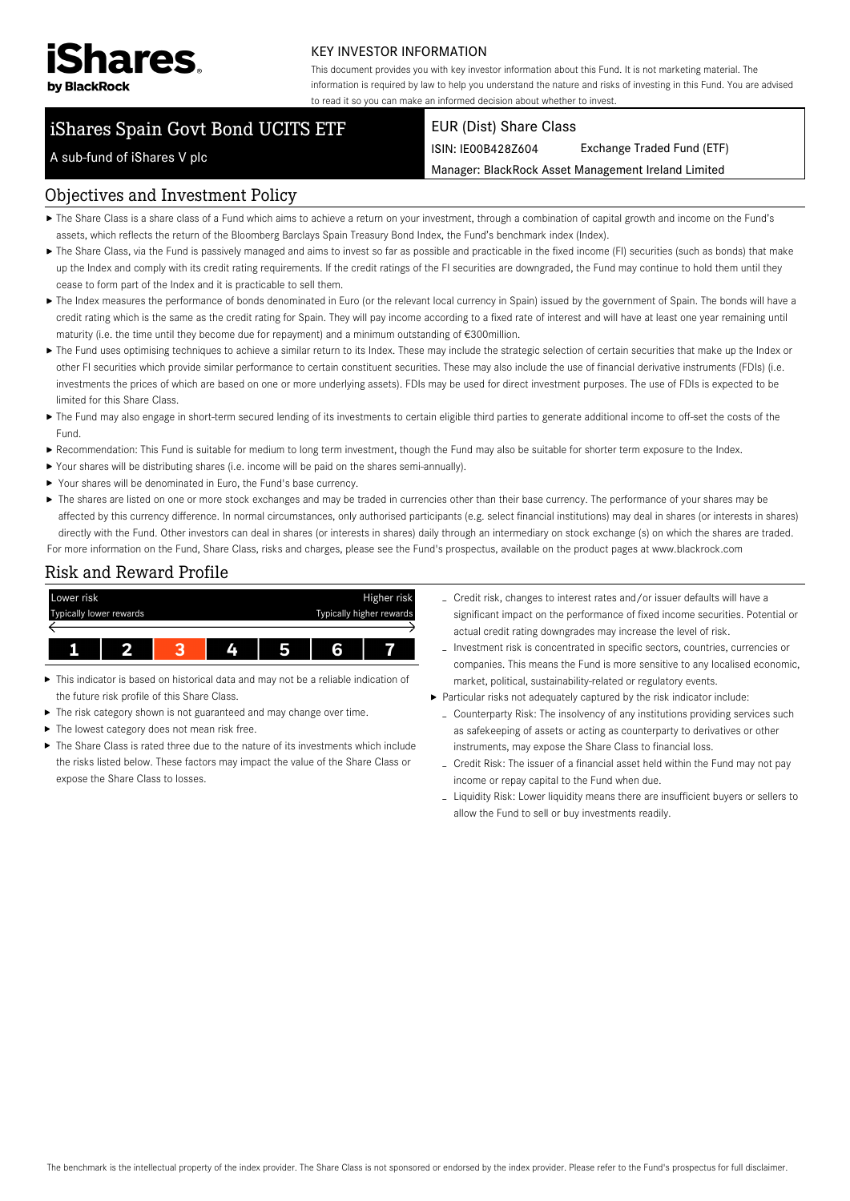

#### KEY INVESTOR INFORMATION

This document provides you with key investor information about this Fund. It is not marketing material. The information is required by law to help you understand the nature and risks of investing in this Fund. You are advised to read it so you can make an informed decision about whether to invest.

# iShares Spain Govt Bond UCITS ETF

#### EUR (Dist) Share Class

ISIN: IE00B428Z604 Exchange Traded Fund (ETF)

Manager: BlackRock Asset Management Ireland Limited

## A sub-fund of iShares V plc

#### Objectives and Investment Policy

- The Share Class is a share class of a Fund which aims to achieve a return on your investment, through a combination of capital growth and income on the Fund's assets, which reflects the return of the Bloomberg Barclays Spain Treasury Bond Index, the Fund's benchmark index (Index).
- ▶ The Share Class, via the Fund is passively managed and aims to invest so far as possible and practicable in the fixed income (FI) securities (such as bonds) that make up the Index and comply with its credit rating requirements. If the credit ratings of the FI securities are downgraded, the Fund may continue to hold them until they cease to form part of the Index and it is practicable to sell them.
- The Index measures the performance of bonds denominated in Euro (or the relevant local currency in Spain) issued by the government of Spain. The bonds will have a credit rating which is the same as the credit rating for Spain. They will pay income according to a fixed rate of interest and will have at least one year remaining until maturity (i.e. the time until they become due for repayment) and a minimum outstanding of €300million.
- ▶ The Fund uses optimising techniques to achieve a similar return to its Index. These may include the strategic selection of certain securities that make up the Index or other FI securities which provide similar performance to certain constituent securities. These may also include the use of financial derivative instruments (FDIs) (i.e. investments the prices of which are based on one or more underlying assets). FDIs may be used for direct investment purposes. The use of FDIs is expected to be limited for this Share Class.
- ▶ The Fund may also engage in short-term secured lending of its investments to certain eligible third parties to generate additional income to off-set the costs of the Fund.
- Recommendation: This Fund is suitable for medium to long term investment, though the Fund may also be suitable for shorter term exposure to the Index.
- Your shares will be distributing shares (i.e. income will be paid on the shares semi-annually).
- ▶ Your shares will be denominated in Euro, the Fund's base currency.
- ▶ The shares are listed on one or more stock exchanges and may be traded in currencies other than their base currency. The performance of your shares may be affected by this currency difference. In normal circumstances, only authorised participants (e.g. select financial institutions) may deal in shares (or interests in shares) directly with the Fund. Other investors can deal in shares (or interests in shares) daily through an intermediary on stock exchange (s) on which the shares are traded. For more information on the Fund, Share Class, risks and charges, please see the Fund's prospectus, available on the product pages at www.blackrock.com

#### Risk and Reward Profile



- This indicator is based on historical data and may not be a reliable indication of ь the future risk profile of this Share Class.
- The risk category shown is not guaranteed and may change over time.
- The lowest category does not mean risk free.
- ▶ The Share Class is rated three due to the nature of its investments which include the risks listed below. These factors may impact the value of the Share Class or expose the Share Class to losses.
- Credit risk, changes to interest rates and/or issuer defaults will have a significant impact on the performance of fixed income securities. Potential or actual credit rating downgrades may increase the level of risk.
- Investment risk is concentrated in specific sectors, countries, currencies or companies. This means the Fund is more sensitive to any localised economic, market, political, sustainability-related or regulatory events.
- Particular risks not adequately captured by the risk indicator include:
	- Counterparty Risk: The insolvency of any institutions providing services such as safekeeping of assets or acting as counterparty to derivatives or other instruments, may expose the Share Class to financial loss.
	- Credit Risk: The issuer of a financial asset held within the Fund may not pay income or repay capital to the Fund when due.
	- Liquidity Risk: Lower liquidity means there are insufficient buyers or sellers to allow the Fund to sell or buy investments readily.